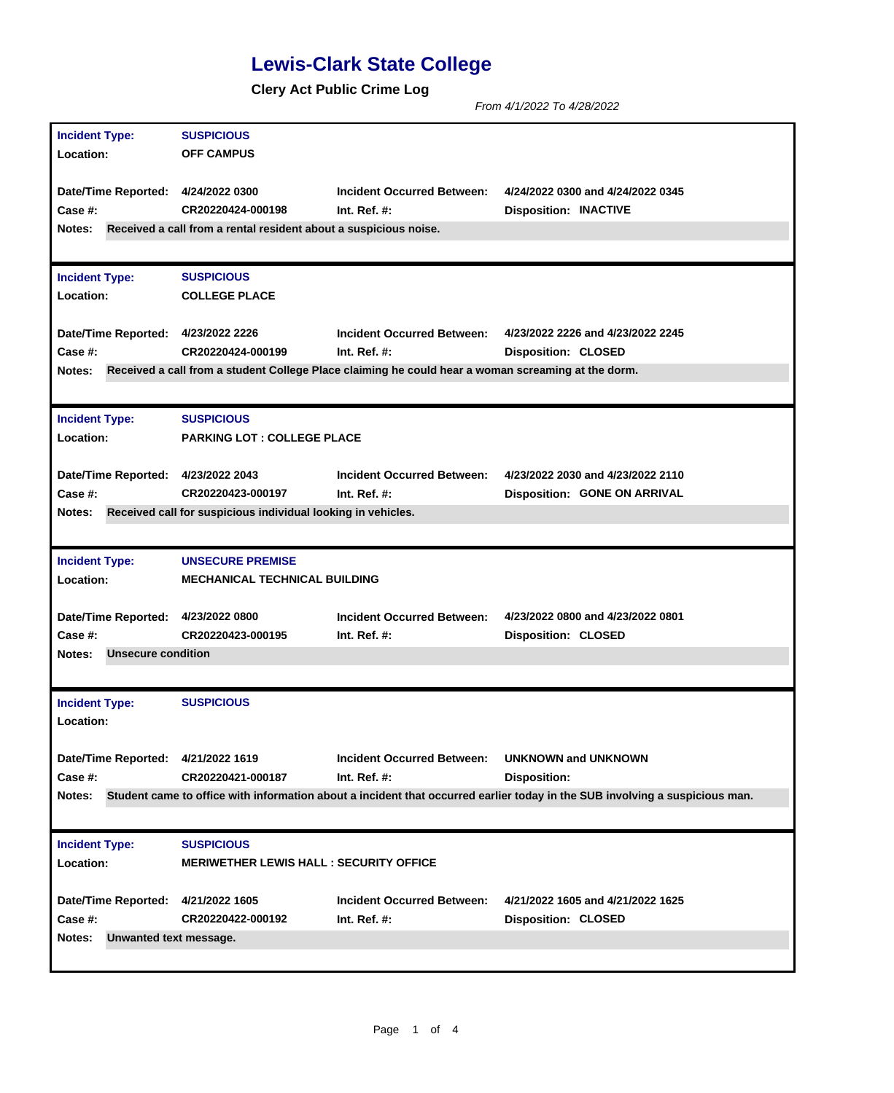## **Lewis-Clark State College**

**Clery Act Public Crime Log**

*From 4/1/2022 To 4/28/2022*

| <b>Incident Type:</b>               | <b>SUSPICIOUS</b>                                                |                                                                                                    |                                                                                                                             |
|-------------------------------------|------------------------------------------------------------------|----------------------------------------------------------------------------------------------------|-----------------------------------------------------------------------------------------------------------------------------|
| Location:                           | <b>OFF CAMPUS</b>                                                |                                                                                                    |                                                                                                                             |
|                                     |                                                                  |                                                                                                    |                                                                                                                             |
| Date/Time Reported: 4/24/2022 0300  |                                                                  | <b>Incident Occurred Between:</b>                                                                  | 4/24/2022 0300 and 4/24/2022 0345                                                                                           |
| Case #:                             | CR20220424-000198                                                | Int. Ref. $#$ :                                                                                    | <b>Disposition: INACTIVE</b>                                                                                                |
| Notes:                              | Received a call from a rental resident about a suspicious noise. |                                                                                                    |                                                                                                                             |
|                                     |                                                                  |                                                                                                    |                                                                                                                             |
| <b>Incident Type:</b>               | <b>SUSPICIOUS</b>                                                |                                                                                                    |                                                                                                                             |
| Location:                           | <b>COLLEGE PLACE</b>                                             |                                                                                                    |                                                                                                                             |
|                                     |                                                                  |                                                                                                    |                                                                                                                             |
| Date/Time Reported: 4/23/2022 2226  |                                                                  | Incident Occurred Between:                                                                         | 4/23/2022 2226 and 4/23/2022 2245                                                                                           |
| Case #:                             | CR20220424-000199                                                | Int. Ref. $#$ :                                                                                    | <b>Disposition: CLOSED</b>                                                                                                  |
| <b>Notes:</b>                       |                                                                  | Received a call from a student College Place claiming he could hear a woman screaming at the dorm. |                                                                                                                             |
|                                     |                                                                  |                                                                                                    |                                                                                                                             |
| <b>Incident Type:</b>               | <b>SUSPICIOUS</b>                                                |                                                                                                    |                                                                                                                             |
| Location:                           | <b>PARKING LOT : COLLEGE PLACE</b>                               |                                                                                                    |                                                                                                                             |
|                                     |                                                                  |                                                                                                    |                                                                                                                             |
| Date/Time Reported: 4/23/2022 2043  |                                                                  | <b>Incident Occurred Between:</b>                                                                  | 4/23/2022 2030 and 4/23/2022 2110                                                                                           |
| Case #:                             | CR20220423-000197                                                | Int. Ref. $#$ :                                                                                    | <b>Disposition: GONE ON ARRIVAL</b>                                                                                         |
| <b>Notes:</b>                       | Received call for suspicious individual looking in vehicles.     |                                                                                                    |                                                                                                                             |
|                                     |                                                                  |                                                                                                    |                                                                                                                             |
| <b>Incident Type:</b>               |                                                                  |                                                                                                    |                                                                                                                             |
|                                     | <b>UNSECURE PREMISE</b>                                          |                                                                                                    |                                                                                                                             |
| Location:                           | <b>MECHANICAL TECHNICAL BUILDING</b>                             |                                                                                                    |                                                                                                                             |
|                                     |                                                                  |                                                                                                    |                                                                                                                             |
| Date/Time Reported: 4/23/2022 0800  |                                                                  | <b>Incident Occurred Between:</b>                                                                  | 4/23/2022 0800 and 4/23/2022 0801                                                                                           |
| Case #:                             | CR20220423-000195                                                | Int. Ref. $#$ :                                                                                    | <b>Disposition: CLOSED</b>                                                                                                  |
| <b>Unsecure condition</b><br>Notes: |                                                                  |                                                                                                    |                                                                                                                             |
|                                     |                                                                  |                                                                                                    |                                                                                                                             |
|                                     | <b>SUSPICIOUS</b>                                                |                                                                                                    |                                                                                                                             |
| <b>Incident Type:</b><br>Location:  |                                                                  |                                                                                                    |                                                                                                                             |
|                                     |                                                                  |                                                                                                    |                                                                                                                             |
| Date/Time Reported: 4/21/2022 1619  |                                                                  | <b>Incident Occurred Between:</b>                                                                  | <b>UNKNOWN and UNKNOWN</b>                                                                                                  |
| Case #:                             | CR20220421-000187                                                | Int. Ref. $#$ :                                                                                    | <b>Disposition:</b>                                                                                                         |
| Notes:                              |                                                                  |                                                                                                    | Student came to office with information about a incident that occurred earlier today in the SUB involving a suspicious man. |
|                                     |                                                                  |                                                                                                    |                                                                                                                             |
|                                     | <b>SUSPICIOUS</b>                                                |                                                                                                    |                                                                                                                             |
| <b>Incident Type:</b><br>Location:  | <b>MERIWETHER LEWIS HALL: SECURITY OFFICE</b>                    |                                                                                                    |                                                                                                                             |
|                                     |                                                                  |                                                                                                    |                                                                                                                             |
| Date/Time Reported: 4/21/2022 1605  |                                                                  | <b>Incident Occurred Between:</b>                                                                  | 4/21/2022 1605 and 4/21/2022 1625                                                                                           |
| Case #:                             | CR20220422-000192                                                | Int. Ref. $#$ :                                                                                    | <b>Disposition: CLOSED</b>                                                                                                  |
| Unwanted text message.<br>Notes:    |                                                                  |                                                                                                    |                                                                                                                             |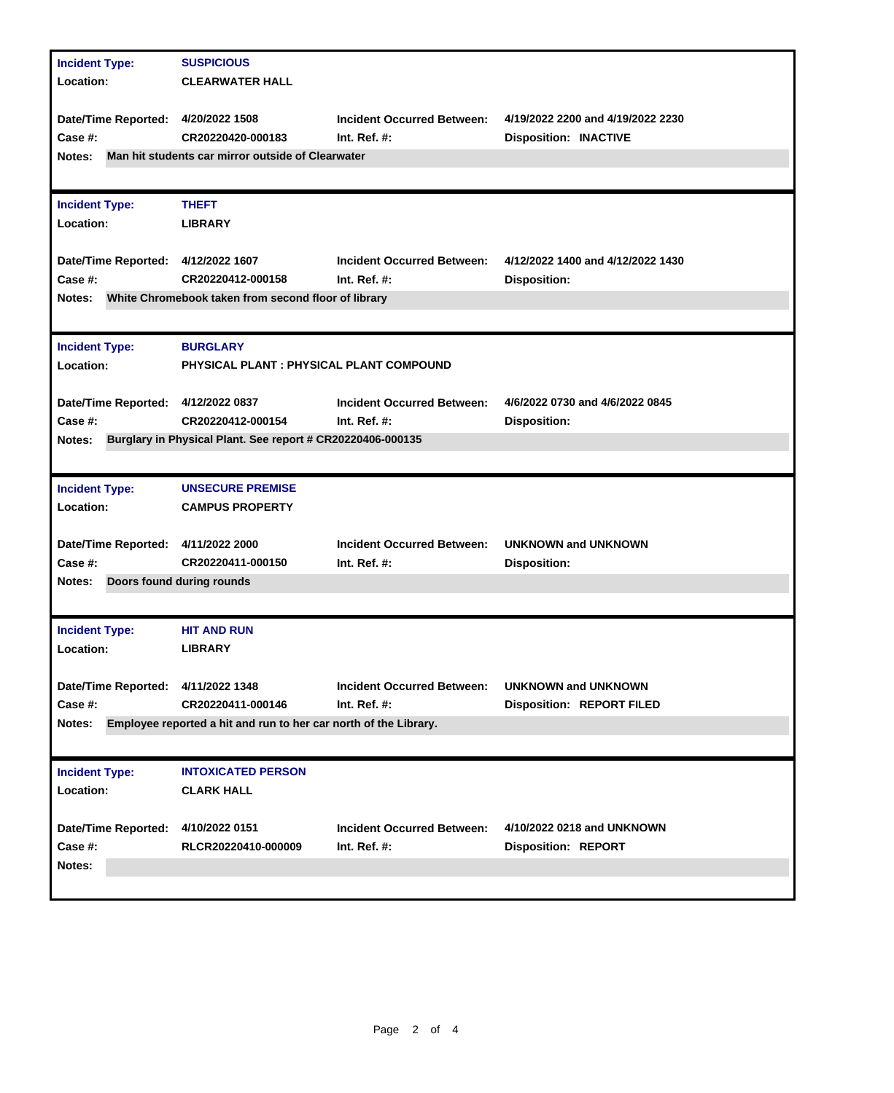| <b>Incident Type:</b>                                              | <b>SUSPICIOUS</b>                                                |                                   |                                   |  |  |  |
|--------------------------------------------------------------------|------------------------------------------------------------------|-----------------------------------|-----------------------------------|--|--|--|
| Location:                                                          | <b>CLEARWATER HALL</b>                                           |                                   |                                   |  |  |  |
|                                                                    |                                                                  |                                   |                                   |  |  |  |
| Date/Time Reported: 4/20/2022 1508                                 |                                                                  | <b>Incident Occurred Between:</b> | 4/19/2022 2200 and 4/19/2022 2230 |  |  |  |
| Case #:                                                            | CR20220420-000183                                                | Int. Ref. $#$ :                   | <b>Disposition: INACTIVE</b>      |  |  |  |
| Man hit students car mirror outside of Clearwater<br><b>Notes:</b> |                                                                  |                                   |                                   |  |  |  |
|                                                                    |                                                                  |                                   |                                   |  |  |  |
| <b>Incident Type:</b>                                              | <b>THEFT</b>                                                     |                                   |                                   |  |  |  |
| Location:                                                          | <b>LIBRARY</b>                                                   |                                   |                                   |  |  |  |
|                                                                    |                                                                  |                                   |                                   |  |  |  |
| Date/Time Reported: 4/12/2022 1607                                 |                                                                  | <b>Incident Occurred Between:</b> | 4/12/2022 1400 and 4/12/2022 1430 |  |  |  |
| Case #:                                                            | CR20220412-000158                                                | Int. Ref. $#$ :                   | <b>Disposition:</b>               |  |  |  |
| Notes:                                                             | White Chromebook taken from second floor of library              |                                   |                                   |  |  |  |
|                                                                    |                                                                  |                                   |                                   |  |  |  |
|                                                                    |                                                                  |                                   |                                   |  |  |  |
| <b>Incident Type:</b>                                              | <b>BURGLARY</b>                                                  |                                   |                                   |  |  |  |
| <b>Location:</b>                                                   | PHYSICAL PLANT : PHYSICAL PLANT COMPOUND                         |                                   |                                   |  |  |  |
| Date/Time Reported: 4/12/2022 0837                                 |                                                                  | <b>Incident Occurred Between:</b> | 4/6/2022 0730 and 4/6/2022 0845   |  |  |  |
| Case #:                                                            | CR20220412-000154                                                | Int. Ref. $#$ :                   | <b>Disposition:</b>               |  |  |  |
| Notes:                                                             | Burglary in Physical Plant. See report # CR20220406-000135       |                                   |                                   |  |  |  |
|                                                                    |                                                                  |                                   |                                   |  |  |  |
|                                                                    |                                                                  |                                   |                                   |  |  |  |
| <b>Incident Type:</b>                                              | <b>UNSECURE PREMISE</b>                                          |                                   |                                   |  |  |  |
|                                                                    |                                                                  |                                   |                                   |  |  |  |
| <b>Location:</b>                                                   | <b>CAMPUS PROPERTY</b>                                           |                                   |                                   |  |  |  |
|                                                                    |                                                                  |                                   |                                   |  |  |  |
| Date/Time Reported: 4/11/2022 2000                                 |                                                                  | <b>Incident Occurred Between:</b> | <b>UNKNOWN and UNKNOWN</b>        |  |  |  |
| <b>Case #:</b>                                                     | CR20220411-000150                                                | Int. Ref. $#$ :                   | <b>Disposition:</b>               |  |  |  |
| Notes:                                                             | Doors found during rounds                                        |                                   |                                   |  |  |  |
|                                                                    |                                                                  |                                   |                                   |  |  |  |
|                                                                    | <b>HIT AND RUN</b>                                               |                                   |                                   |  |  |  |
| <b>Incident Type:</b><br><b>Location:</b>                          | <b>LIBRARY</b>                                                   |                                   |                                   |  |  |  |
|                                                                    |                                                                  |                                   |                                   |  |  |  |
| Date/Time Reported: 4/11/2022 1348                                 |                                                                  | <b>Incident Occurred Between:</b> | <b>UNKNOWN and UNKNOWN</b>        |  |  |  |
| Case #:                                                            | CR20220411-000146                                                | Int. Ref. $#$ :                   | <b>Disposition: REPORT FILED</b>  |  |  |  |
| <b>Notes:</b>                                                      | Employee reported a hit and run to her car north of the Library. |                                   |                                   |  |  |  |
|                                                                    |                                                                  |                                   |                                   |  |  |  |
|                                                                    |                                                                  |                                   |                                   |  |  |  |
| <b>Incident Type:</b>                                              | <b>INTOXICATED PERSON</b>                                        |                                   |                                   |  |  |  |
| Location:                                                          | <b>CLARK HALL</b>                                                |                                   |                                   |  |  |  |
|                                                                    |                                                                  |                                   |                                   |  |  |  |
| Date/Time Reported:                                                | 4/10/2022 0151                                                   | <b>Incident Occurred Between:</b> | 4/10/2022 0218 and UNKNOWN        |  |  |  |
| Case #:                                                            | RLCR20220410-000009                                              | Int. Ref. #:                      | <b>Disposition: REPORT</b>        |  |  |  |
| Notes:                                                             |                                                                  |                                   |                                   |  |  |  |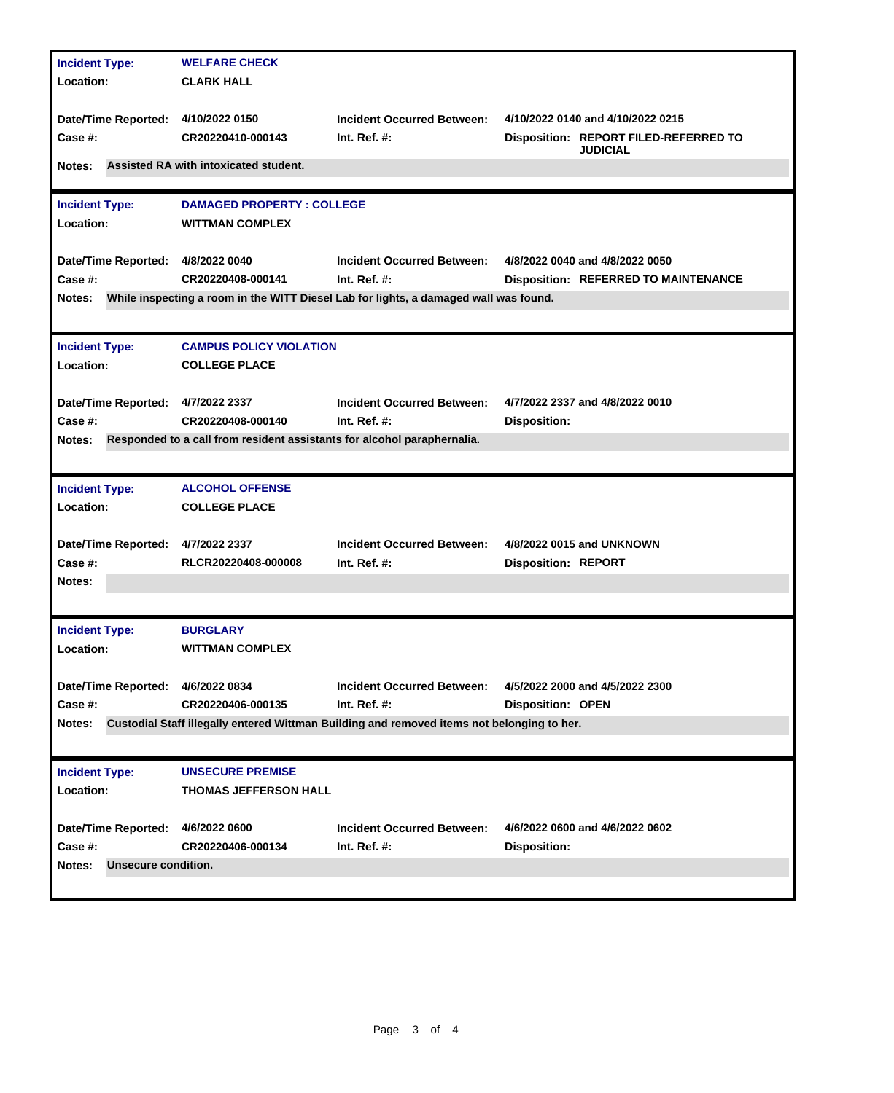| <b>Incident Type:</b>                     | <b>WELFARE CHECK</b>                                                    |                                                                                            |                                             |
|-------------------------------------------|-------------------------------------------------------------------------|--------------------------------------------------------------------------------------------|---------------------------------------------|
| Location:                                 | <b>CLARK HALL</b>                                                       |                                                                                            |                                             |
|                                           |                                                                         |                                                                                            |                                             |
| Date/Time Reported: 4/10/2022 0150        |                                                                         | <b>Incident Occurred Between:</b>                                                          | 4/10/2022 0140 and 4/10/2022 0215           |
| Case #:                                   | CR20220410-000143                                                       | Int. $Ref. #:$                                                                             | Disposition: REPORT FILED-REFERRED TO       |
| <b>Notes:</b>                             | Assisted RA with intoxicated student.                                   |                                                                                            | <b>JUDICIAL</b>                             |
|                                           |                                                                         |                                                                                            |                                             |
| <b>Incident Type:</b>                     | <b>DAMAGED PROPERTY: COLLEGE</b>                                        |                                                                                            |                                             |
| <b>Location:</b>                          | <b>WITTMAN COMPLEX</b>                                                  |                                                                                            |                                             |
|                                           |                                                                         |                                                                                            |                                             |
| Date/Time Reported: 4/8/2022 0040         |                                                                         | <b>Incident Occurred Between:</b>                                                          | 4/8/2022 0040 and 4/8/2022 0050             |
| Case #:                                   | CR20220408-000141                                                       | Int. Ref. $#$ :                                                                            | <b>Disposition: REFERRED TO MAINTENANCE</b> |
| Notes:                                    |                                                                         | While inspecting a room in the WITT Diesel Lab for lights, a damaged wall was found.       |                                             |
|                                           |                                                                         |                                                                                            |                                             |
|                                           |                                                                         |                                                                                            |                                             |
| <b>Incident Type:</b>                     | <b>CAMPUS POLICY VIOLATION</b><br><b>COLLEGE PLACE</b>                  |                                                                                            |                                             |
| <b>Location:</b>                          |                                                                         |                                                                                            |                                             |
| Date/Time Reported: 4/7/2022 2337         |                                                                         | <b>Incident Occurred Between:</b>                                                          | 4/7/2022 2337 and 4/8/2022 0010             |
| Case #:                                   | CR20220408-000140                                                       | Int. Ref. $#$ :                                                                            | <b>Disposition:</b>                         |
| Notes:                                    | Responded to a call from resident assistants for alcohol paraphernalia. |                                                                                            |                                             |
|                                           |                                                                         |                                                                                            |                                             |
|                                           |                                                                         |                                                                                            |                                             |
|                                           |                                                                         |                                                                                            |                                             |
| <b>Incident Type:</b>                     | <b>ALCOHOL OFFENSE</b>                                                  |                                                                                            |                                             |
| <b>Location:</b>                          | <b>COLLEGE PLACE</b>                                                    |                                                                                            |                                             |
|                                           |                                                                         |                                                                                            |                                             |
| Date/Time Reported: 4/7/2022 2337         |                                                                         | <b>Incident Occurred Between:</b>                                                          | 4/8/2022 0015 and UNKNOWN                   |
| Case #:                                   | RLCR20220408-000008                                                     | Int. $Ref. #:$                                                                             | <b>Disposition: REPORT</b>                  |
| Notes:                                    |                                                                         |                                                                                            |                                             |
|                                           |                                                                         |                                                                                            |                                             |
| <b>Incident Type:</b>                     | <b>BURGLARY</b>                                                         |                                                                                            |                                             |
| Location:                                 | <b>WITTMAN COMPLEX</b>                                                  |                                                                                            |                                             |
|                                           |                                                                         |                                                                                            |                                             |
| Date/Time Reported: 4/6/2022 0834         |                                                                         | <b>Incident Occurred Between:</b>                                                          | 4/5/2022 2000 and 4/5/2022 2300             |
| Case #:                                   | CR20220406-000135                                                       | Int. Ref. $#$ :                                                                            | <b>Disposition: OPEN</b>                    |
| <b>Notes:</b>                             |                                                                         | Custodial Staff illegally entered Wittman Building and removed items not belonging to her. |                                             |
|                                           |                                                                         |                                                                                            |                                             |
|                                           | <b>UNSECURE PREMISE</b>                                                 |                                                                                            |                                             |
| <b>Incident Type:</b><br><b>Location:</b> | <b>THOMAS JEFFERSON HALL</b>                                            |                                                                                            |                                             |
|                                           |                                                                         |                                                                                            |                                             |
|                                           | 4/6/2022 0600                                                           | <b>Incident Occurred Between:</b>                                                          | 4/6/2022 0600 and 4/6/2022 0602             |
| Date/Time Reported:<br><b>Case #:</b>     | CR20220406-000134                                                       | Int. Ref. $#$ :                                                                            | <b>Disposition:</b>                         |
| Notes:<br>Unsecure condition.             |                                                                         |                                                                                            |                                             |